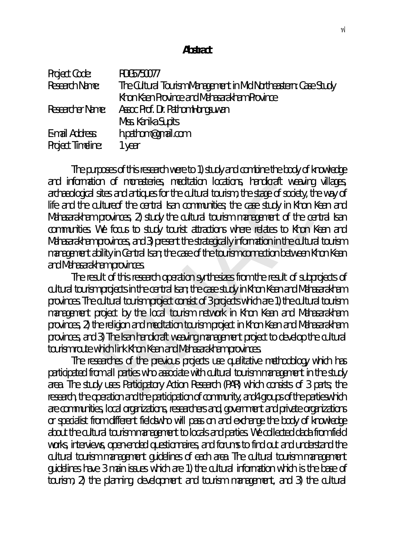## **Abstract**

| <b>Project Code:</b>     | RDG5750077                                                      |
|--------------------------|-----------------------------------------------------------------|
| Research Name:           | The Cultural Tourism Management in Mid Northeastern: Case Study |
|                          | Khon Kaen Province and Mahasarakham Province                    |
| <b>Researcher Name:</b>  | Assoc Prof. Dr. PathomHongsuwan                                 |
|                          | Miss. Kanika Supits                                             |
| E-mail Address:          | h.pathom@qmail.com                                              |
| <b>Project Timeline:</b> | 1 year                                                          |

The purposes of this research were to 1) study and combine the body of knowledge and information of monasteries, meditation locations, handicraft weaving villages, archaeological sites and antiques for the cultural tourism, the stage of society, the way of life and the cultureof the central Isan communities; the case study in Khon Kean and Mahasarakham provinces, 2) study the cultural tourism management of the central Isan communities. We focus to study tourist attractions where relates to Khon Kean and Mahasarakham provinces, and 3) present the strategically information in the cultural tourism management ability in Central Isan; the case of the tourism connection between Khon Kean and Mahasarakham provinces. n of monasteries, meditation locations, nandicraft weaving<br>thes and antiques for the cultural tourism, the stage of society, the<br>tureof the central Isan communities; the case study in Khon K<br>provinces, 2) study the cultura

The result of this research operation synthesizes from the result of subprojects of cultural tourism projects in the central Isan; the case study in Khon Kean and Mahasarakham provinces. The cultural tourism project consist of 3 projects which are 1) the cultural tourism management project by the local tourism network in Khon Kean and Mahasarakham provinces, 2) the religion and meditation tourism project in Khon Kean and Mahasarakham provinces, and 3) The Isan handicraft weaving management project to develop the cultural tourism route which link Khon Kean and Mahasarakham provinces.

The researches of the previous projects use qualitative methodology which has participated from all parties who associate with cultural tourism management in the study area. The study uses Participatory Action Research (PAR) which consists of 3 parts; the research, the operation and the participation of community, and4 groups of the partieswhich are communities, local organizations, researchers and, government and private organizations or specialist from different fieldswho will pass on and exchange the body of knowledge about the cultural tourism management to locals and parties. We collected dada from field works, interviews, open-ended questionnaires, and forums to find out and understand the cultural tourism management guidelines of each area. The cultural tourism management guidelines have 3 main issues which are 1) the cultural information which is the base of tourism, 2) the planning, development and tourism management, and 3) the cultural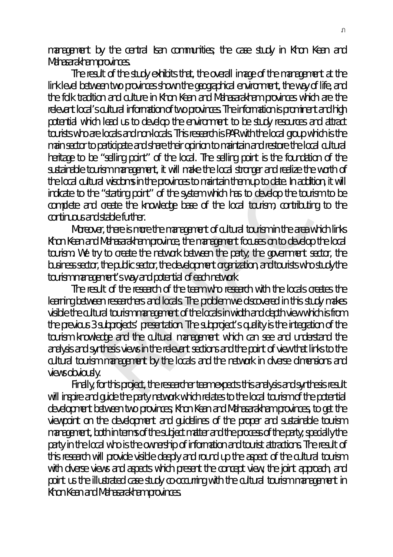management by the central Isan communities; the case study in Khon Kean and Mahasarakham provinces.

The result of the study exhibits that, the overall image of the management at the link level between two provinces shown the geographical environment, the way of life, and the folk tradition and culture in Khon Kean and Mahasarakham provinces which are the relevant local's cultural information of two provinces. The information is prominent and high potential which lead us to develop the environment to be study resources and attract tourists who are locals and non-locals. This research is PAR with the local group which is the main sector to participate and share their opinion to maintain and restore the local cultural heritage to be "selling point" of the local. The selling point is the foundation of the sustainable tourism management, it will make the local stronger and realize the worth of the local cultural wisdoms in the provinces to maintain them up to date. In addition, it will indicate to the "starting point" of the system which has to develop the tourism to be complete and create the knowledge base of the local tourism, contributing to the continuous and stable further.

Moreover, there is more the management of cultural tourism in the area which links Khon Kean and Mahasarakham province, the management focuses on to develop the local tourism. We try to create the network between the party; the government sector, the business sector, the public sector, the development organization, and tourists who study the tourism management's way and potential of each network.

The result of the research of the team who research with the locals creates the learning between researchers and locals. The problem we discovered in this study makes visible the cultural tourism management of the locals in width and depth view which is from the previous 3 subprojects' presentation. The subproject's quality is the integration of the tourism knowledge and the cultural management which can see and understand the analysis and synthesis views in the relevant sections and the point of view that links to the cultural tourism management by the locals and the network in diverse dimensions and views obviously. If wisdoms in the provinces to maintain them up to date. In additionally "starting point" of the system which has to develop the tourisity create the knowledge base of the local tourism, contributing stable further.<br>
It, t

Finally, for this project, the researcher team expects this analysis and synthesis result will inspire and quide the party network which relates to the local tourism of the potential development between two provinces; Khon Kean and Mahasarakham provinces, to get the viewpoint on the development and guidelines of the proper and sustainable tourism management, both in terms of the subject matter and the process of the party; specially the party in the local who is the ownership of information and tourist attractions. The result of this research will provide visible deeply and round up the aspect of the cultural tourism with diverse views and aspects which present the concept view, the joint approach, and point us the illustrated case study co-occurring with the cultural tourism management in Khon Kean and Mahasarakham provinces.